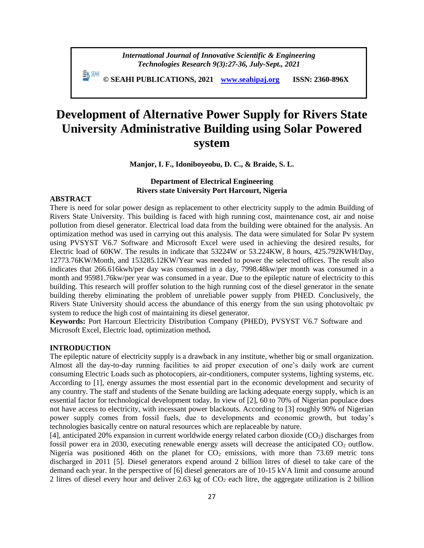*International Journal of Innovative Scientific & Engineering Technologies Research 9(3):27-36, July-Sept., 2021*

 **© SEAHI PUBLICATIONS, 2021 [www.seahipaj.org](http://www.seahipaj.org/) ISSN: 2360-896X**

# **Development of Alternative Power Supply for Rivers State University Administrative Building using Solar Powered system**

**Manjor, I. F., Idoniboyeobu, D. C., & Braide, S. L.**

# **Department of Electrical Engineering Rivers state University Port Harcourt, Nigeria**

# **ABSTRACT**

There is need for solar power design as replacement to other electricity supply to the admin Building of Rivers State University. This building is faced with high running cost, maintenance cost, air and noise pollution from diesel generator. Electrical load data from the building were obtained for the analysis. An optimization method was used in carrying out this analysis. The data were simulated for Solar Pv system using PVSYST V6.7 Software and Microsoft Excel were used in achieving the desired results, for Electric load of 60KW. The results in indicate that 53224W or 53.224KW, 8 hours, 425.792KWH/Day, 12773.76KW/Month, and 153285.12KW/Year was needed to power the selected offices. The result also indicates that 266.616kwh/per day was consumed in a day, 7998.48kw/per month was consumed in a month and 95981.76kw/per year was consumed in a year. Due to the epileptic nature of electricity to this building. This research will proffer solution to the high running cost of the diesel generator in the senate building thereby eliminating the problem of unreliable power supply from PHED. Conclusively, the Rivers State University should access the abundance of this energy from the sun using photovoltaic pv system to reduce the high cost of maintaining its diesel generator.

**Keywords:** Port Harcourt Electricity Distribution Company (PHED), PVSYST V6.7 Software and Microsoft Excel, Electric load, optimization method**.**

### **INTRODUCTION**

The epileptic nature of electricity supply is a drawback in any institute, whether big or small organization. Almost all the day-to-day running facilities to aid proper execution of one's daily work are current consuming Electric Loads such as photocopiers, air-conditioners, computer systems, lighting systems, etc. According to [1], energy assumes the most essential part in the economic development and security of any country. The staff and students of the Senate building are lacking adequate energy supply, which is an essential factor for technological development today. In view of [2], 60 to 70% of Nigerian populace does not have access to electricity, with incessant power blackouts. According to [3] roughly 90% of Nigerian power supply comes from fossil fuels, due to developments and economic growth, but today's technologies basically centre on natural resources which are replaceable by nature.

[4], anticipated 20% expansion in current worldwide energy related carbon dioxide  $(CO<sub>2</sub>)$  discharges from fossil power era in 2030, executing renewable energy assets will decrease the anticipated CO<sub>2</sub> outflow. Nigeria was positioned 46th on the planet for  $CO<sub>2</sub>$  emissions, with more than 73.69 metric tons discharged in 2011 [5]. Diesel generators expend around 2 billion litres of diesel to take care of the demand each year. In the perspective of [6] diesel generators are of 10-15 kVA limit and consume around 2 litres of diesel every hour and deliver 2.63 kg of  $CO<sub>2</sub>$  each litre, the aggregate utilization is 2 billion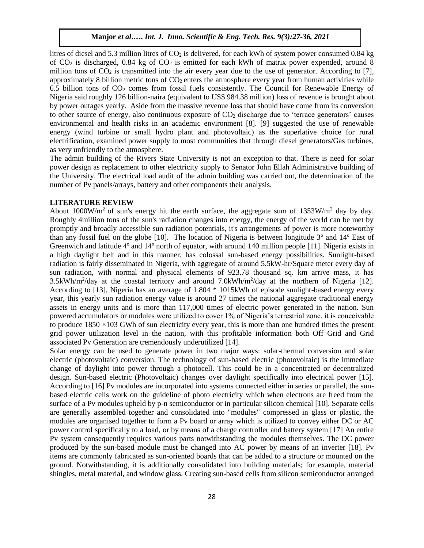litres of diesel and 5.3 million litres of  $CO<sub>2</sub>$  is delivered, for each kWh of system power consumed 0.84 kg of  $CO<sub>2</sub>$  is discharged, 0.84 kg of  $CO<sub>2</sub>$  is emitted for each kWh of matrix power expended, around 8 million tons of  $CO_2$  is transmitted into the air every year due to the use of generator. According to [7], approximately 8 billion metric tons of  $CO<sub>2</sub>$  enters the atmosphere every year from human activities while 6.5 billion tons of  $CO<sub>2</sub>$  comes from fossil fuels consistently. The Council for Renewable Energy of Nigeria said roughly 126 billion-naira (equivalent to US\$ 984.38 million) loss of revenue is brought about by power outages yearly. Aside from the massive revenue loss that should have come from its conversion to other source of energy, also continuous exposure of  $CO<sub>2</sub>$  discharge due to 'terrace generators' causes environmental and health risks in an academic environment [8]. [9] suggested the use of renewable energy (wind turbine or small hydro plant and photovoltaic) as the superlative choice for rural electrification, examined power supply to most communities that through diesel generators/Gas turbines, as very unfriendly to the atmosphere.

The admin building of the Rivers State University is not an exception to that. There is need for solar power design as replacement to other electricity supply to Senator John Ellah Administrative building of the University. The electrical load audit of the admin building was carried out, the determination of the number of Pv panels/arrays, battery and other components their analysis.

# **LITERATURE REVIEW**

About 1000W/m<sup>2</sup> of sun's energy hit the earth surface, the aggregate sum of  $1353W/m<sup>2</sup>$  day by day. Roughly 4million tons of the sun's radiation changes into energy, the energy of the world can be met by promptly and broadly accessible sun radiation potentials, it's arrangements of power is more noteworthy than any fossil fuel on the globe [10]. The location of Nigeria is between longitude  $3^{\circ}$  and  $14^{\circ}$  East of Greenwich and latitude 4<sup>o</sup> and 14<sup>o</sup> north of equator, with around 140 million people [11]. Nigeria exists in a high daylight belt and in this manner, has colossal sun-based energy possibilities. Sunlight-based radiation is fairly disseminated in Nigeria, with aggregate of around 5.5kW-hr/Square meter every day of sun radiation, with normal and physical elements of 923.78 thousand sq. km arrive mass, it has 3.5kWh/m<sup>2</sup>/day at the coastal territory and around 7.0kWh/m<sup>2</sup>/day at the northern of Nigeria [12]. According to [13], Nigeria has an average of 1.804 \* 1015kWh of episode sunlight-based energy every year, this yearly sun radiation energy value is around 27 times the national aggregate traditional energy assets in energy units and is more than 117,000 times of electric power generated in the nation. Sun powered accumulators or modules were utilized to cover 1% of Nigeria's terrestrial zone, it is conceivable to produce  $1850 \times 103$  GWh of sun electricity every year, this is more than one hundred times the present grid power utilization level in the nation, with this profitable information both Off Grid and Grid associated Pv Generation are tremendously underutilized [14].

Solar energy can be used to generate power in two major ways: solar-thermal conversion and solar electric (photovoltaic) conversion. The technology of sun-based electric (photovoltaic) is the immediate change of daylight into power through a photocell. This could be in a concentrated or decentralized design. Sun-based electric (Photovoltaic) changes over daylight specifically into electrical power [15]. According to [16] Pv modules are incorporated into systems connected either in series or parallel, the sunbased electric cells work on the guideline of photo electricity which when electrons are freed from the surface of a Pv modules upheld by p-n semiconductor or in particular silicon chemical [10]. Separate cells are generally assembled together and consolidated into "modules" compressed in glass or plastic, the modules are organised together to form a Pv board or array which is utilized to convey either DC or AC power control specifically to a load, or by means of a charge controller and battery system [17] An entire Pv system consequently requires various parts notwithstanding the modules themselves. The DC power produced by the sun-based module must be changed into AC power by means of an inverter [18]. Pv items are commonly fabricated as sun-oriented boards that can be added to a structure or mounted on the ground. Notwithstanding, it is additionally consolidated into building materials; for example, material shingles, metal material, and window glass. Creating sun-based cells from silicon semiconductor arranged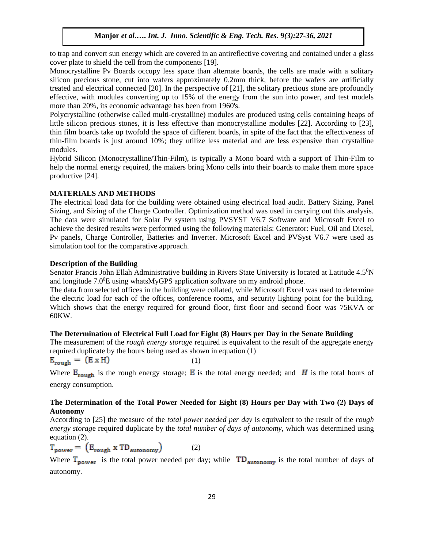to trap and convert sun energy which are covered in an antireflective covering and contained under a glass cover plate to shield the cell from the components [19].

Monocrystalline Pv Boards occupy less space than alternate boards, the cells are made with a solitary silicon precious stone, cut into wafers approximately 0.2mm thick, before the wafers are artificially treated and electrical connected [20]. In the perspective of [21], the solitary precious stone are profoundly effective, with modules converting up to 15% of the energy from the sun into power, and test models more than 20%, its economic advantage has been from 1960's.

Polycrystalline (otherwise called multi-crystalline) modules are produced using cells containing heaps of little silicon precious stones, it is less effective than monocrystalline modules [22]. According to [23], thin film boards take up twofold the space of different boards, in spite of the fact that the effectiveness of thin-film boards is just around 10%; they utilize less material and are less expensive than crystalline modules.

Hybrid Silicon (Monocrystalline/Thin-Film), is typically a Mono board with a support of Thin-Film to help the normal energy required, the makers bring Mono cells into their boards to make them more space productive [24].

# **MATERIALS AND METHODS**

The electrical load data for the building were obtained using electrical load audit. Battery Sizing, Panel Sizing, and Sizing of the Charge Controller. Optimization method was used in carrying out this analysis. The data were simulated for Solar Pv system using PVSYST V6.7 Software and Microsoft Excel to achieve the desired results were performed using the following materials: Generator: Fuel, Oil and Diesel, Pv panels, Charge Controller, Batteries and Inverter. Microsoft Excel and PVSyst V6.7 were used as simulation tool for the comparative approach.

# **Description of the Building**

Senator Francis John Ellah Administrative building in Rivers State University is located at Latitude 4.5<sup>0</sup>N and longitude  $7.0^{\circ}E$  using whatsMyGPS application software on my android phone.

The data from selected offices in the building were collated, while Microsoft Excel was used to determine the electric load for each of the offices, conference rooms, and security lighting point for the building. Which shows that the energy required for ground floor, first floor and second floor was 75KVA or 60KW.

# **The Determination of Electrical Full Load for Eight (8) Hours per Day in the Senate Building**

The measurement of the *rough energy storage* required is equivalent to the result of the aggregate energy required duplicate by the hours being used as shown in equation (1)  $E_{\text{rough}} = (E \times H)$  (1)

$$
(1)
$$

Where  $E_{rough}$  is the rough energy storage; E is the total energy needed; and H is the total hours of energy consumption.

# **The Determination of the Total Power Needed for Eight (8) Hours per Day with Two (2) Days of Autonomy**

According to [25] the measure of the *total power needed per day* is equivalent to the result of the *rough energy storag*e required duplicate by the *total number of days of autonomy*, which was determined using

equation (2).<br> $T_{power} = (E_{rough} \times TD_{automomy})$ (2)

Where  $T_{\text{power}}$  is the total power needed per day; while  $TD_{\text{automopy}}$  is the total number of days of autonomy.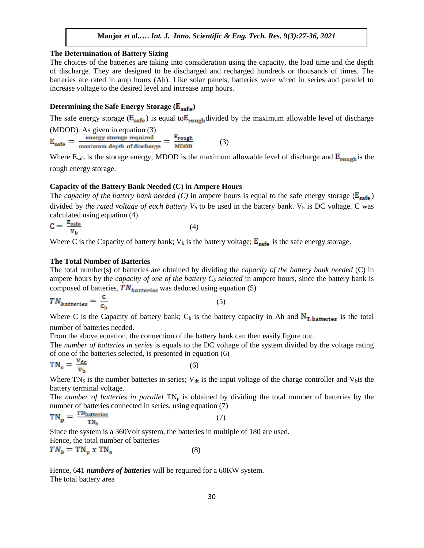# **The Determination of Battery Sizing**

The choices of the batteries are taking into consideration using the capacity, the load time and the depth of discharge. They are designed to be discharged and recharged hundreds or thousands of times. The batteries are rated in amp hours (Ah). Like solar panels, batteries were wired in series and parallel to increase voltage to the desired level and increase amp hours.

# **Determining the Safe Energy Storage (** $\mathbf{E}_{\text{safe}}$ **)**

The safe energy storage ( $E_{\text{safe}}$ ) is equal to  $E_{\text{rough}}$  divided by the maximum allowable level of discharge

(MDOD). As given in equation (3)<br> $E_{\text{safe}} = \frac{\text{energy storage required}}{\text{maximum depth of discharge}} = \frac{E_{\text{rough}}}{\text{MDOD}}$ (3)

Where  $E_{\text{safe}}$  is the storage energy; MDOD is the maximum allowable level of discharge and  $E_{\text{rough}}$  is the rough energy storage.

# **Capacity of the Battery Bank Needed (C) in Ampere Hours**

The *capacity of the battery bank needed (C)* in ampere hours is equal to the safe energy storage ( $E_{\text{safe}}$ ) divided by *the rated voltage of each battery*  $V_b$  to be used in the battery bank.  $V_b$  is DC voltage. C was calculated using equation (4)

$$
C = \frac{E_{\text{safe}}}{V_b} \tag{4}
$$

Where C is the Capacity of battery bank;  $V_b$  is the battery voltage;  $E_{\text{safe}}$  is the safe energy storage.

#### **The Total Number of Batteries**

The total number(s) of batteries are obtained by dividing the *capacity of the battery bank needed* (C) in ampere hours by the *capacity of one of the battery C<sup>b</sup> selected* in ampere hours, since the battery bank is composed of batteries,  $TN_{batteries}$  was deduced using equation (5)

$$
TN_{batteries} = \frac{c}{c_b} \tag{5}
$$

Where C is the Capacity of battery bank;  $C_b$  is the battery capacity in Ah and  $N_{\text{T}, b}$  is the total number of batteries needed.

From the above equation, the connection of the battery bank can then easily figure out.

The *number of batteries in series* is equals to the DC voltage of the system divided by the voltage rating of one of the batteries selected, is presented in equation (6)

$$
TN_s = \frac{V_{dc}}{V_b} \tag{6}
$$

Where TN<sub>S</sub> is the number batteries in series;  $V_{dc}$  is the input voltage of the charge controller and  $V_{b}$  is the battery terminal voltage.

The *number of batteries in parallel*  $TN_p$  is obtained by dividing the total number of batteries by the number of batteries connected in series, using equation (7)

$$
TN_p = \frac{TN_{batteries}}{TN_s} \tag{7}
$$

Since the system is a 360Volt system, the batteries in multiple of 180 are used. Hence, the total number of batteries

$$
TN_b = TN_p \times TN_s \tag{8}
$$

Hence, 641 *numbers of batteries* will be required for a 60KW system. The total battery area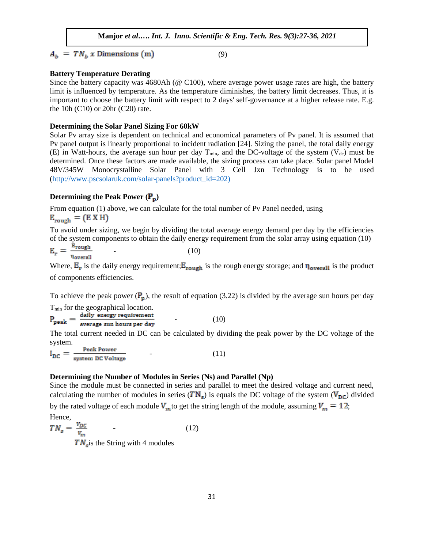$A_h = TN_h x$  Dimensions (m)

$$
(9)
$$

# **Battery Temperature Derating**

Since the battery capacity was 4680Ah (@ C100), where average power usage rates are high, the battery limit is influenced by temperature. As the temperature diminishes, the battery limit decreases. Thus, it is important to choose the battery limit with respect to 2 days' self-governance at a higher release rate. E.g. the 10h (C10) or 20hr (C20) rate.

# **Determining the Solar Panel Sizing For 60kW**

Solar Pv array size is dependent on technical and economical parameters of Pv panel. It is assumed that Pv panel output is linearly proportional to incident radiation [24]. Sizing the panel, the total daily energy (E) in Watt-hours, the average sun hour per day  $T_{min}$ , and the DC-voltage of the system (V<sub>dc</sub>) must be determined. Once these factors are made available, the sizing process can take place. Solar panel Model 48V/345W Monocrystalline Solar Panel with 3 Cell Jxn Technology is to be used [\(http://www.pscsolaruk.com/solar-panels?product\\_id=202\)](http://www.pscsolaruk.com/solar-panels?product_id=202)

# **Determining the Peak Power**  $(\mathbf{P}_{\mathbf{p}})$

From equation (1) above, we can calculate for the total number of Pv Panel needed, using

$$
E_{\text{rough}} = (E X H)
$$

To avoid under sizing, we begin by dividing the total average energy demand per day by the efficiencies of the system components to obtain the daily energy requirement from the solar array using equation (10)  $E_{rangeh}$ 

$$
E_r = \frac{10 \text{ g}}{\eta_{\text{overall}}} \tag{10}
$$

Where,  $E_r$  is the daily energy requirement;  $E_{\text{rough}}$  is the rough energy storage; and  $\eta_{\text{overall}}$  is the product of components efficiencies.

To achieve the peak power  $(P_p)$ , the result of equation (3.22) is divided by the average sun hours per day

 $T_{min}$  for the geographical location.<br> $P_{peak} = \frac{daily\ energy\ requirement}{average\ sun\ hours\ per\ day}$  $(10)$ 

The total current needed in DC can be calculated by dividing the peak power by the DC voltage of the system.

$$
I_{DC} = \frac{Peak Power}{system DC Voltage}
$$
 (11)

# **Determining the Number of Modules in Series (Ns) and Parallel (Np)**

Since the module must be connected in series and parallel to meet the desired voltage and current need, calculating the number of modules in series  $(TN<sub>s</sub>)$  is equals the DC voltage of the system  $(V<sub>DC</sub>)$  divided by the rated voltage of each module  $V_m$  to get the string length of the module, assuming  $V_m = 12$ ; Hence,

$$
TN_s = \frac{v_{DC}}{v_m}
$$
 (12)

 $TN<sub>s</sub>$  is the String with 4 modules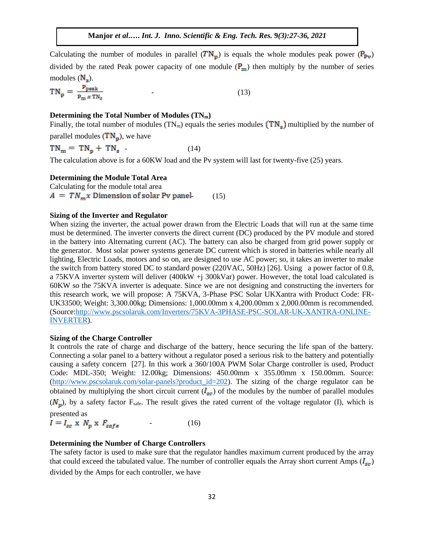Calculating the number of modules in parallel  $(TN_p)$  is equals the whole modules peak power  $(P_{pv})$ divided by the rated Peak power capacity of one module  $(P_m)$  then multiply by the number of series modules  $(N_s)$ .

$$
TN_p = \frac{P_{\text{peak}}}{P_{\text{m}} \times TN_s} \tag{13}
$$

# **Determining the Total Number of Modules (TNm)**

Finally, the total number of modules (TN<sub>m</sub>) equals the series modules  $(TN_s)$  multiplied by the number of

parallel modules  $(TN_p)$ , we have

 $TN_m = TN_p + TN_s$  (14)

The calculation above is for a 60KW load and the Pv system will last for twenty-five (25) years.

#### **Determining the Module Total Area**

Calculating for the module total area  $A = TN_m x$  Dimension of solar Pv panel- (15)

#### **Sizing of the Inverter and Regulator**

When sizing the inverter, the actual power drawn from the Electric Loads that will run at the same time must be determined. The inverter converts the direct current (DC) produced by the PV module and stored in the battery into Alternating current (AC). The battery can also be charged from grid power supply or the generator. Most solar power systems generate DC current which is stored in batteries while nearly all lighting, Electric Loads, motors and so on, are designed to use AC power; so, it takes an inverter to make the switch from battery stored DC to standard power (220VAC, 50Hz) [26]. Using a power factor of 0.8, a 75KVA inverter system will deliver (400kW +j 300kVar) power. However, the total load calculated is 60KW so the 75KVA inverter is adequate. Since we are not designing and constructing the inverters for this research work, we will propose: A 75KVA, 3-Phase PSC Solar UKXantra with Product Code: FR-UK33500; Weight: 3,300.00kg; Dimensions: 1,000.00mm x 4,200.00mm x 2,000.00mm is recommended. (Source[:http://www.pscsolaruk.com/Inverters/75KVA-3PHASE-PSC-SOLAR-UK-XANTRA-ONLINE-](http://www.pscsolaruk.com/Inverters/500KVA-3PHASE-PSC-SOLAR-UK-XANTRA-ONLINE-INVERTER)[INVERTER\)](http://www.pscsolaruk.com/Inverters/500KVA-3PHASE-PSC-SOLAR-UK-XANTRA-ONLINE-INVERTER).

#### **Sizing of the Charge Controller**

It controls the rate of charge and discharge of the battery, hence securing the life span of the battery. Connecting a solar panel to a battery without a regulator posed a serious risk to the battery and potentially causing a safety concern [27]. In this work a 360/100A PWM Solar Charge controller is used, Product Code: MDL-350; Weight: 12.00kg; Dimensions: 450.00mm x 355.00mm x 150.00mm. Source: [\(http://www.pscsolaruk.com/solar-panels?product\\_id=202\)](http://www.pscsolaruk.com/solar-panels?product_id=202). The sizing of the charge regulator can be obtained by multiplying the short circuit current  $(I_{\text{sc}})$  of the modules by the number of parallel modules  $(N<sub>n</sub>)$ , by a safety factor F<sub>safe</sub>. The result gives the rated current of the voltage regulator (I), which is presented as

 $I = I_{sc} \times N_p \times F_{safe}$  $(16)$ 

# **Determining the Number of Charge Controllers**

The safety factor is used to make sure that the regulator handles maximum current produced by the array that could exceed the tabulated value. The number of controller equals the Array short current Amps ( $I_{sc}$ ) divided by the Amps for each controller, we have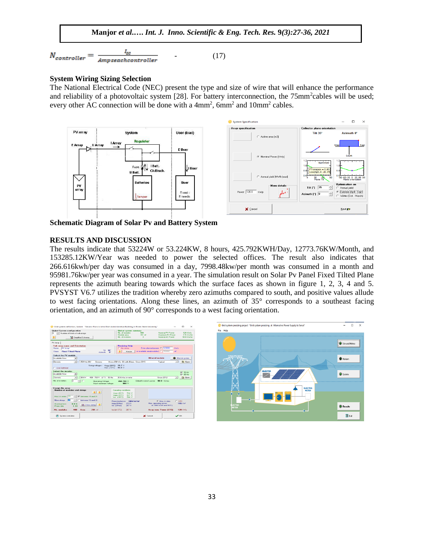$$
N_{controller} = \frac{I_{sc}}{Ampsearchcontroller}
$$
 (17)

# **System Wiring Sizing Selection**

The National Electrical Code (NEC) present the type and size of wire that will enhance the performance and reliability of a photovoltaic system [28]. For battery interconnection, the 75mm<sup>2</sup>cables will be used; every other AC connection will be done with a 4mm<sup>2</sup>, 6mm<sup>2</sup> and 10mm<sup>2</sup> cables.



**Schematic Diagram of Solar Pv and Battery System**

# **RESULTS AND DISCUSSION**

The results indicate that 53224W or 53.224KW, 8 hours, 425.792KWH/Day, 12773.76KW/Month, and 153285.12KW/Year was needed to power the selected offices. The result also indicates that 266.616kwh/per day was consumed in a day, 7998.48kw/per month was consumed in a month and 95981.76kw/per year was consumed in a year. The simulation result on Solar Pv Panel Fixed Tilted Plane represents the azimuth bearing towards which the surface faces as shown in figure 1, 2, 3, 4 and 5. PVSYST V6.7 utilizes the tradition whereby zero azimuths compared to south, and positive values allude to west facing orientations. Along these lines, an azimuth of 35° corresponds to a southeast facing orientation, and an azimuth of 90° corresponds to a west facing orientation.



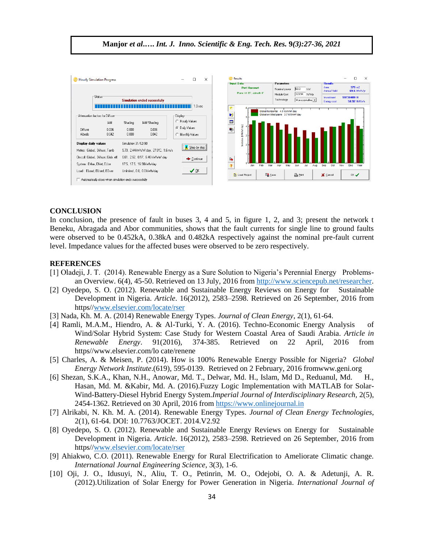

B,

 $\overline{?}$ 

Load Project

**But** Save

**B** Print

X Cancel

 $0K$ 

**Manjor** *et al***.….** *Int. J. Inno. Scientific & Eng. Tech. Res.* **9***(3):27-36, 2021*

#### **CONCLUSION**

Albedo

Display daily values

Meteo: Global, Diffuse, Tamb

System : EMax, ENet, EUse

Load: ELoad, EUsed, EOver

0.042

Automatically close when simulation ends successfully

 $0.000$ 

On coll: Global, Diffuse, Glob. eff. 6.61, 2.62, 0.17, 6.46 kWh/m<sup>2</sup>.day

Simulation 31/12/90

17.5, 17.5, 16.90kWh/day

Unlimited , 0.0, 0.0 kWh/day

0.042

5.70, 2.44kWh/m2.day, 27.0°C, 1.6 m/s

C Monthly Values

Step by step

 $\blacktriangleright$  Continue

 $\vee$  QK

In conclusion, the presence of fault in buses 3, 4 and 5, in figure 1, 2, and 3; present the network t Beneku, Abragada and Abor communities, shows that the fault currents for single line to ground faults were observed to be 0.452kA, 0.38kA and 0.482kA respectively against the nominal pre-fault current level. Impedance values for the affected buses were observed to be zero respectively.

#### **REFERENCES**

- [1] Oladeji, J. T. (2014). Renewable Energy as a Sure Solution to Nigeria's Perennial Energy Problemsan Overview. 6(4), 45-50. Retrieved on 13 July, 2016 fro[m http://www.sciencepub.net/researcher.](http://www.sciencepub.net/researcher)
- [2] Oyedepo, S. O. (2012). Renewable and Sustainable Energy Reviews on Energy for Sustainable Development in Nigeria. *Article*. 16(2012), 2583–2598. Retrieved on 26 September, 2016 from https/[/www.elsevier.com/locate/rser](http://www.elsevier.com/locate/rser)
- [3] Nada, Kh. M. A. (2014) Renewable Energy Types. *Journal of Clean Energy*, 2(1), 61-64.
- [4] Ramli, M.A.M., Hiendro, A. & Al-Turki, Y. A. (2016). Techno-Economic Energy Analysis of Wind/Solar Hybrid System: Case Study for Western Coastal Area of Saudi Arabia. *Article in Renewable Energy*. 91(2016), 374-385. Retrieved on 22 April, 2016 from https//www.elsevier.com/lo cate/renene
- [5] Charles, A. & Meisen, P. (2014). How is 100% Renewable Energy Possible for Nigeria? *Global Energy Network Institute*.(619), 595-0139. Retrieved on 2 February, 2016 fromwww.geni.org
- [6] Shezan, S.K.A., Khan, N.H., Anowar, Md. T., Delwar, Md. H., Islam, Md D., Reduanul, Md. H., Hasan, Md. M. &Kabir, Md. A. (2016).Fuzzy Logic Implementation with MATLAB for Solar-Wind-Battery-Diesel Hybrid Energy System.*Imperial Journal of Interdisciplinary Research,* 2(5), 2454-1362. Retrieved on 30 April, 2016 from [https://www.onlinejournal.in](https://www.onlinejournal.in/)
- [7] Alrikabi, N. Kh. M. A. (2014). Renewable Energy Types. *Journal of Clean Energy Technologies*, 2(1), 61-64. DOI: 10.7763/JOCET. 2014.V2.92
- [8] Oyedepo, S. O. (2012). Renewable and Sustainable Energy Reviews on Energy for Sustainable Development in Nigeria. *Article*. 16(2012), 2583–2598. Retrieved on 26 September, 2016 from https/[/www.elsevier.com/locate/rser](http://www.elsevier.com/locate/rser)
- [9] Ahiakwo, C.O. (2011). Renewable Energy for Rural Electrification to Ameliorate Climatic change. *International Journal Engineering Science*, 3(3), 1-6.
- [10] Oji, J. O., Idusuyi, N., Aliu, T. O., Petinrin, M. O., Odejobi, O. A. & Adetunji, A. R. (2012).Utilization of Solar Energy for Power Generation in Nigeria. *International Journal of*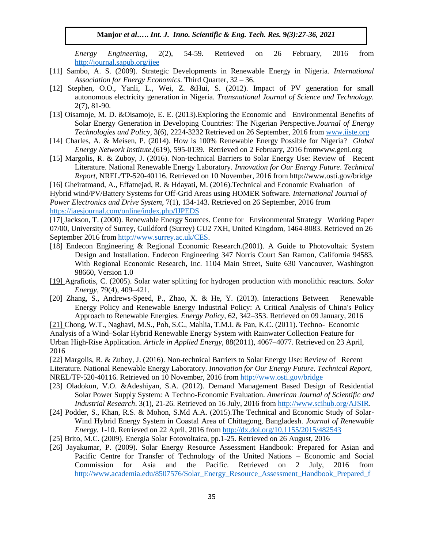*Energy Engineering,* 2(2), 54-59. Retrieved on 26 February, 2016 from <http://journal.sapub.org/ijee>

- [11] Sambo, A. S. (2009). Strategic Developments in Renewable Energy in Nigeria. *International Association for Energy Economics.* Third Quarter, 32 – 36.
- [12] Stephen, O.O., Yanli, L., Wei, Z. &Hui, S. (2012). Impact of PV generation for small autonomous electricity generation in Nigeria. *Transnational Journal of Science and Technology.* 2(7), 81-90.
- [13] Oisamoje, M. D. &Oisamoje, E. E. (2013). Exploring the Economic and Environmental Benefits of Solar Energy Generation in Developing Countries: The Nigerian Perspective.*Journal of Energy Technologies and Policy*, 3(6), 2224-3232 Retrieved on 26 September, 2016 from [www.iiste.org](http://www.iiste.org/)
- [14] Charles, A. & Meisen, P. (2014). How is 100% Renewable Energy Possible for Nigeria? *Global Energy Network Institute*.(619), 595-0139. Retrieved on 2 February, 2016 fromwww.geni.org
- [15] Margolis, R. & Zuboy, J. (2016). Non-technical Barriers to Solar Energy Use: Review of Recent Literature. National Renewable Energy Laboratory. *Innovation for Our Energy Future*. *Technical Report,* NREL/TP-520-40116. Retrieved on 10 November, 2016 from http://www.osti.gov/bridge

[16] Gheiratmand, A., Effatnejad, R. & Hdayati, M. (2016).Technical and Economic Evaluation of Hybrid wind/PV/Battery Systems for Off-Grid Areas using HOMER Software. *International Journal of Power Electronics and Drive System*, 7(1), 134-143. Retrieved on 26 September, 2016 from <https://iaesjournal.com/online/index.php/IJPEDS>

[17] Jackson, T. (2000). Renewable Energy Sources. Centre for Environmental Strategy Working Paper 07/00, University of Surrey, Guildford (Surrey) GU2 7XH, United Kingdom, 1464-8083. Retrieved on 26 September 2016 fro[m http://www.surrey.ac.uk/CES.](http://www.surrey.ac.uk/CES)

- [18] Endecon Engineering & Regional Economic Research.(2001). A Guide to Photovoltaic System Design and Installation. Endecon Engineering 347 Norris Court San Ramon, California 94583. With Regional Economic Research, Inc. 1104 Main Street, Suite 630 Vancouver, Washington 98660, Version 1.0
- [19] Agrafiotis, C. (2005). Solar water splitting for hydrogen production with monolithic reactors. *Solar Energy,* 79(4), 409–421.
- [20] Zhang, S., Andrews-Speed, P., Zhao, X. & He, Y. (2013). Interactions Between Renewable Energy Policy and Renewable Energy Industrial Policy: A Critical Analysis of China's Policy Approach to Renewable Energies. *Energy Policy*, 62, 342–353. Retrieved on 09 January, 2016

[21] Chong, W.T., Naghavi, M.S., Poh, S.C., Mahlia, T.M.I. & Pan, K.C. (2011). Techno- Economic Analysis of a Wind–Solar Hybrid Renewable Energy System with Rainwater Collection Feature for Urban High-Rise Application. *Article in Applied Energy,* 88(2011), 4067–4077. Retrieved on 23 April, 2016

[22] Margolis, R. & Zuboy, J. (2016). Non-technical Barriers to Solar Energy Use: Review of Recent Literature. National Renewable Energy Laboratory. *Innovation for Our Energy Future*. *Technical Report,* NREL/TP-520-40116. Retrieved on 10 November, 2016 from<http://www.osti.gov/bridge>

- [23] Oladokun, V.O. &Adeshiyan, S.A. (2012). Demand Management Based Design of Residential Solar Power Supply System: A Techno-Economic Evaluation. *American Journal of Scientific and Industrial Research*. 3(1), 21-26. Retrieved on 16 July, 2016 from [http://www.scihub.org/AJSIR.](http://www.scihub.org/AJSIR)
- [24] Podder, S., Khan, R.S. & Mohon, S.Md A.A. (2015).The Technical and Economic Study of Solar-Wind Hybrid Energy System in Coastal Area of Chittagong, Bangladesh. *Journal of Renewable Energy.* 1-10. Retrieved on 22 April, 2016 from<http://dx.doi.org/10.1155/2015/482543>
- [25] Brito, M.C. (2009). Energia Solar Fotovoltaica, pp.1-25. Retrieved on 26 August, 2016
- [26] Jayakumar, P. (2009). Solar Energy Resource Assessment Handbook: Prepared for Asian and Pacific Centre for Transfer of Technology of the United Nations – Economic and Social Commission for Asia and the Pacific. Retrieved on 2 July, 2016 from [http://www.academia.edu/8507576/Solar\\_Energy\\_Resource\\_Assessment\\_Handbook\\_Prepared\\_f](http://www.academia.edu/8507576/Solar_Energy_Resource_Assessment_Handbook_Prepared_for_APCTT_Asian_and_Pacific_Centre_for_Transfer_of_Technology_Of_the_United_Nations_Economic_and_Social_Commission_for_Asia_and_the_Pacific_ESCAP)